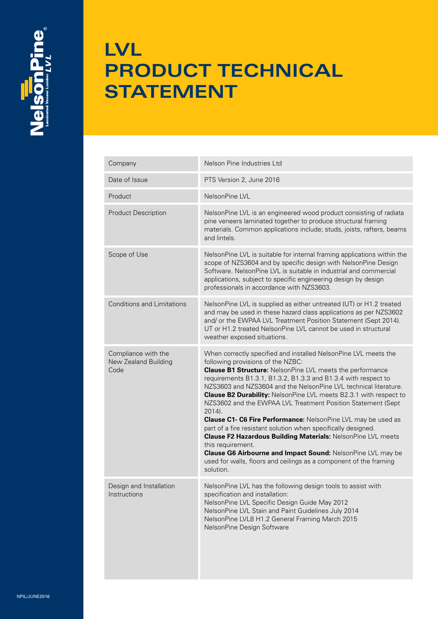

## **LVL PRODUCT TECHNICAL STATEMENT**

| Company                                             | Nelson Pine Industries Ltd                                                                                                                                                                                                                                                                                                                                                                                                                                                                                                                                                                                                                                                                                                                                                                                                                      |
|-----------------------------------------------------|-------------------------------------------------------------------------------------------------------------------------------------------------------------------------------------------------------------------------------------------------------------------------------------------------------------------------------------------------------------------------------------------------------------------------------------------------------------------------------------------------------------------------------------------------------------------------------------------------------------------------------------------------------------------------------------------------------------------------------------------------------------------------------------------------------------------------------------------------|
| Date of Issue                                       | PTS Version 2, June 2016                                                                                                                                                                                                                                                                                                                                                                                                                                                                                                                                                                                                                                                                                                                                                                                                                        |
| Product                                             | NelsonPine LVL                                                                                                                                                                                                                                                                                                                                                                                                                                                                                                                                                                                                                                                                                                                                                                                                                                  |
| <b>Product Description</b>                          | NelsonPine LVL is an engineered wood product consisting of radiata<br>pine veneers laminated together to produce structural framing<br>materials. Common applications include; studs, joists, rafters, beams<br>and lintels.                                                                                                                                                                                                                                                                                                                                                                                                                                                                                                                                                                                                                    |
| Scope of Use                                        | NelsonPine LVL is suitable for internal framing applications within the<br>scope of NZS3604 and by specific design with NelsonPine Design<br>Software. NelsonPine LVL is suitable in industrial and commercial<br>applications, subject to specific engineering design by design<br>professionals in accordance with NZS3603.                                                                                                                                                                                                                                                                                                                                                                                                                                                                                                                   |
| <b>Conditions and Limitations</b>                   | NelsonPine LVL is supplied as either untreated (UT) or H1.2 treated<br>and may be used in these hazard class applications as per NZS3602<br>and/ or the EWPAA LVL Treatment Position Statement (Sept 2014).<br>UT or H1.2 treated NelsonPine LVL cannot be used in structural<br>weather exposed situations.                                                                                                                                                                                                                                                                                                                                                                                                                                                                                                                                    |
| Compliance with the<br>New Zealand Building<br>Code | When correctly specified and installed NelsonPine LVL meets the<br>following provisions of the NZBC:<br><b>Clause B1 Structure:</b> NelsonPine LVL meets the performance<br>requirements B1.3.1, B1.3.2, B1.3.3 and B1.3.4 with respect to<br>NZS3603 and NZS3604 and the NelsonPine LVL technical literature.<br><b>Clause B2 Durability:</b> NelsonPine LVL meets B2.3.1 with respect to<br>NZS3602 and the EWPAA LVL Treatment Position Statement (Sept<br>$2014$ ).<br>Clause C1- C6 Fire Performance: NelsonPine LVL may be used as<br>part of a fire resistant solution when specifically designed.<br>Clause F2 Hazardous Building Materials: NelsonPine LVL meets<br>this requirement.<br>Clause G6 Airbourne and Impact Sound: NelsonPine LVL may be<br>used for walls, floors and ceilings as a component of the framing<br>solution. |
| Design and Installation<br>Instructions             | NelsonPine LVL has the following design tools to assist with<br>specification and installation:<br>NelsonPine LVL Specific Design Guide May 2012<br>NelsonPine LVL Stain and Paint Guidelines July 2014<br>NelsonPine LVL8 H1.2 General Framing March 2015<br>NelsonPine Design Software                                                                                                                                                                                                                                                                                                                                                                                                                                                                                                                                                        |